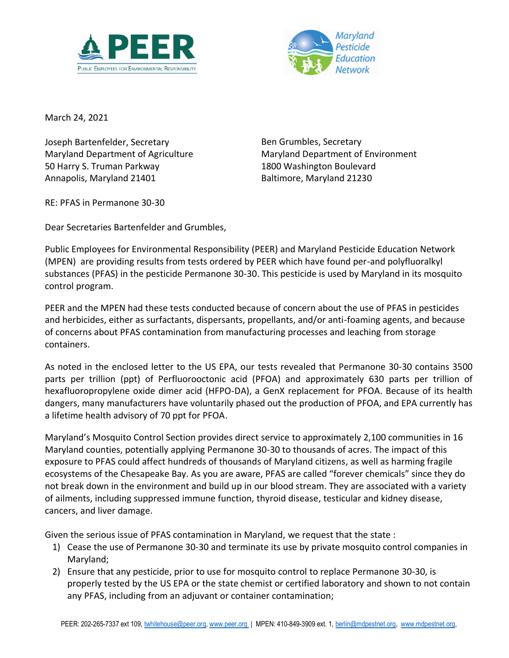



March 24, 2021

Joseph Bartenfelder, Secretary Maryland Department of Agriculture 50 Harry S. Truman Parkway Annapolis, Maryland 21401

Ben Grumbles, Secretary Maryland Department of Environment 1800 Washington Boulevard Baltimore, Maryland 21230

RE: PFAS in Permanone 30-30

Dear Secretaries Bartenfelder and Grumbles,

Public Employees for Environmental Responsibility (PEER) and Maryland Pesticide Education Network (MPEN) are providing results from tests ordered by PEER which have found per-and polyfluoralkyl substances (PFAS) in the pesticide Permanone 30-30. This pesticide is used by Maryland in its mosquito control program.

PEER and the MPEN had these tests conducted because of concern about the use of PFAS in pesticides and herbicides, either as surfactants, dispersants, propellants, and/or anti-foaming agents, and because of concerns about PFAS contamination from manufacturing processes and leaching from storage containers.

As noted in the enclosed letter to the US EPA, our tests revealed that Permanone 30-30 contains 3500 parts per trillion (ppt) of Perfluorooctonic acid (PFOA) and approximately 630 parts per trillion of hexafluoropropylene oxide dimer acid (HFPO-DA), a GenX replacement for PFOA. Because of its health dangers, many manufacturers have voluntarily phased out the production of PFOA, and EPA currently has a lifetime health advisory of 70 ppt for PFOA.

Maryland's Mosquito Control Section provides direct service to approximately 2,100 communities in 16 Maryland counties, potentially applying Permanone 30-30 to thousands of acres. The impact of this exposure to PFAS could affect hundreds of thousands of Maryland citizens, as well as harming fragile ecosystems of the Chesapeake Bay. As you are aware, PFAS are called "forever chemicals" since they do not break down in the environment and build up in our blood stream. They are associated with a variety of ailments, including suppressed immune function, thyroid disease, testicular and kidney disease, cancers, and liver damage.

Given the serious issue of PFAS contamination in Maryland, we request that the state :

- 1) Cease the use of Permanone 30-30 and terminate its use by private mosquito control companies in Maryland;
- 2) Ensure that any pesticide, prior to use for mosquito control to replace Permanone 30-30, is properly tested by the US EPA or the state chemist or certified laboratory and shown to not contain any PFAS, including from an adjuvant or container contamination;